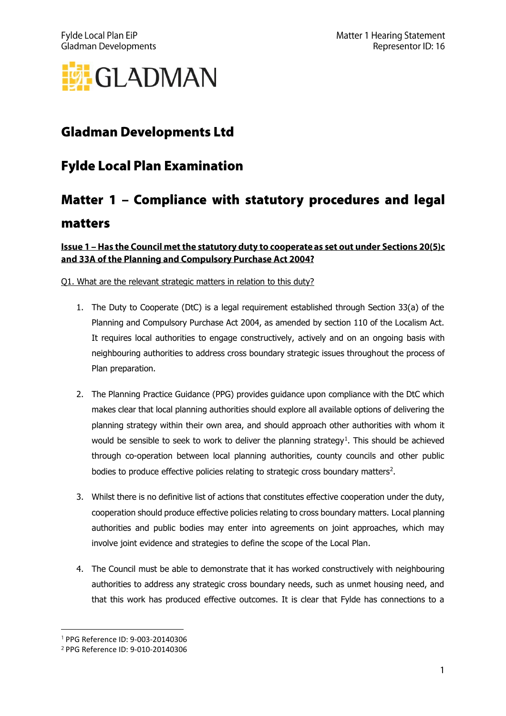

## **Gladman Developments Ltd**

### **Fylde Local Plan Examination**

# Matter 1 - Compliance with statutory procedures and legal matters

### Issue 1 - Has the Council met the statutory duty to cooperate as set out under Sections 20(5)c and 33A of the Planning and Compulsory Purchase Act 2004?

Q1. What are the relevant strategic matters in relation to this duty?

- 1. The Duty to Cooperate (DtC) is a legal requirement established through Section 33(a) of the Planning and Compulsory Purchase Act 2004, as amended by section 110 of the Localism Act. It requires local authorities to engage constructively, actively and on an ongoing basis with neighbouring authorities to address cross boundary strategic issues throughout the process of Plan preparation.
- 2. The Planning Practice Guidance (PPG) provides guidance upon compliance with the DtC which makes clear that local planning authorities should explore all available options of delivering the planning strategy within their own area, and should approach other authorities with whom it would be sensible to seek to work to deliver the planning strategy<sup>1</sup>. This should be achieved through co-operation between local planning authorities, county councils and other public bodies to produce effective policies relating to strategic cross boundary matters<sup>2</sup>.
- 3. Whilst there is no definitive list of actions that constitutes effective cooperation under the duty, cooperation should produce effective policies relating to cross boundary matters. Local planning authorities and public bodies may enter into agreements on joint approaches, which may involve joint evidence and strategies to define the scope of the Local Plan.
- 4. The Council must be able to demonstrate that it has worked constructively with neighbouring authorities to address any strategic cross boundary needs, such as unmet housing need, and that this work has produced effective outcomes. It is clear that Fylde has connections to a

PPG Reference ID: 9-003-20140306

<sup>&</sup>lt;sup>2</sup> PPG Reference ID: 9-010-20140306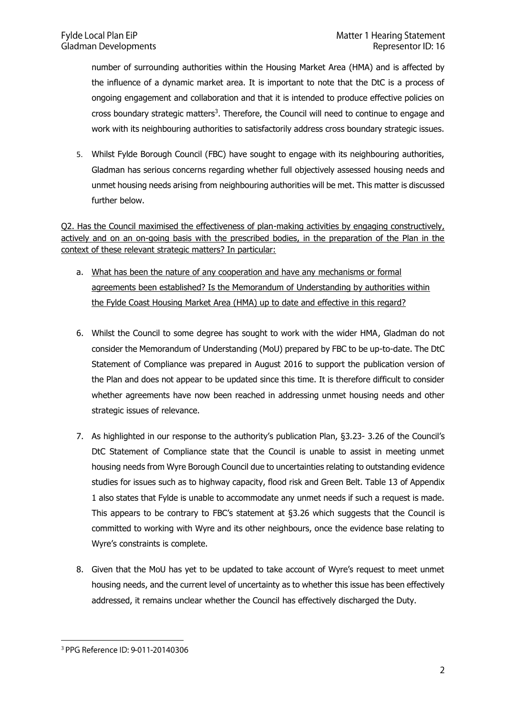number of surrounding authorities within the Housing Market Area (HMA) and is affected by the influence of a dynamic market area. It is important to note that the DtC is a process of ongoing engagement and collaboration and that it is intended to produce effective policies on cross boundary strategic matters<sup>3</sup>. Therefore, the Council will need to continue to engage and work with its neighbouring authorities to satisfactorily address cross boundary strategic issues.

5. Whilst Fylde Borough Council (FBC) have sought to engage with its neighbouring authorities, Gladman has serious concerns regarding whether full objectively assessed housing needs and unmet housing needs arising from neighbouring authorities will be met. This matter is discussed further below.

Q2. Has the Council maximised the effectiveness of plan-making activities by engaging constructively, actively and on an on-going basis with the prescribed bodies, in the preparation of the Plan in the context of these relevant strategic matters? In particular:

- a. What has been the nature of any cooperation and have any mechanisms or formal agreements been established? Is the Memorandum of Understanding by authorities within the Fylde Coast Housing Market Area (HMA) up to date and effective in this regard?
- 6. Whilst the Council to some degree has sought to work with the wider HMA, Gladman do not consider the Memorandum of Understanding (MoU) prepared by FBC to be up-to-date. The DtC Statement of Compliance was prepared in August 2016 to support the publication version of the Plan and does not appear to be updated since this time. It is therefore difficult to consider whether agreements have now been reached in addressing unmet housing needs and other strategic issues of relevance.
- 7. As highlighted in our response to the authority's publication Plan, §3.23- 3.26 of the Council's DtC Statement of Compliance state that the Council is unable to assist in meeting unmet housing needs from Wyre Borough Council due to uncertainties relating to outstanding evidence studies for issues such as to highway capacity, flood risk and Green Belt. Table 13 of Appendix 1 also states that Fylde is unable to accommodate any unmet needs if such a request is made. This appears to be contrary to FBC's statement at §3.26 which suggests that the Council is committed to working with Wyre and its other neighbours, once the evidence base relating to Wyre's constraints is complete.
- 8. Given that the MoU has yet to be updated to take account of Wyre's request to meet unmet housing needs, and the current level of uncertainty as to whether this issue has been effectively addressed, it remains unclear whether the Council has effectively discharged the Duty.

<sup>&</sup>lt;sup>3</sup> PPG Reference ID: 9-011-20140306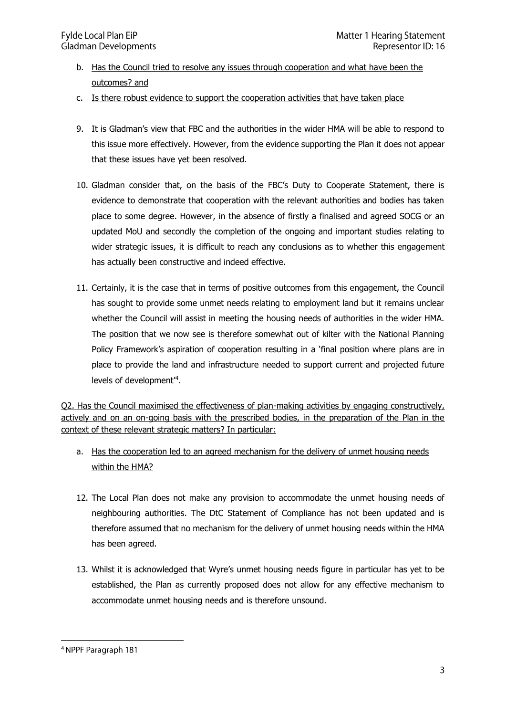- b. Has the Council tried to resolve any issues through cooperation and what have been the outcomes? and
- c. Is there robust evidence to support the cooperation activities that have taken place
- 9. It is Gladman's view that FBC and the authorities in the wider HMA will be able to respond to this issue more effectively. However, from the evidence supporting the Plan it does not appear that these issues have yet been resolved.
- 10. Gladman consider that, on the basis of the FBC's Duty to Cooperate Statement, there is evidence to demonstrate that cooperation with the relevant authorities and bodies has taken place to some degree. However, in the absence of firstly a finalised and agreed SOCG or an updated MoU and secondly the completion of the ongoing and important studies relating to wider strategic issues, it is difficult to reach any conclusions as to whether this engagement has actually been constructive and indeed effective.
- 11. Certainly, it is the case that in terms of positive outcomes from this engagement, the Council has sought to provide some unmet needs relating to employment land but it remains unclear whether the Council will assist in meeting the housing needs of authorities in the wider HMA. The position that we now see is therefore somewhat out of kilter with the National Planning Policy Framework's aspiration of cooperation resulting in a 'final position where plans are in place to provide the land and infrastructure needed to support current and projected future levels of development'<sup>4</sup> .

Q2. Has the Council maximised the effectiveness of plan-making activities by engaging constructively, actively and on an on-going basis with the prescribed bodies, in the preparation of the Plan in the context of these relevant strategic matters? In particular:

- a. Has the cooperation led to an agreed mechanism for the delivery of unmet housing needs within the HMA?
- 12. The Local Plan does not make any provision to accommodate the unmet housing needs of neighbouring authorities. The DtC Statement of Compliance has not been updated and is therefore assumed that no mechanism for the delivery of unmet housing needs within the HMA has been agreed.
- 13. Whilst it is acknowledged that Wyre's unmet housing needs figure in particular has yet to be established, the Plan as currently proposed does not allow for any effective mechanism to accommodate unmet housing needs and is therefore unsound.

<sup>&</sup>lt;sup>4</sup> NPPF Paragraph 181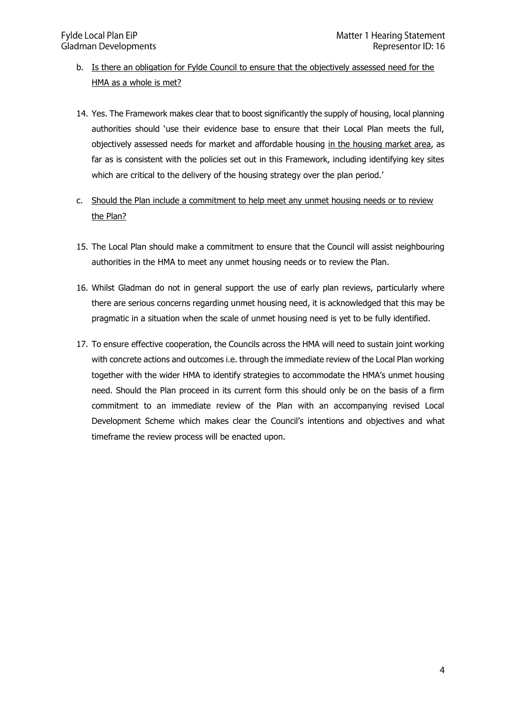- b. Is there an obligation for Fylde Council to ensure that the objectively assessed need for the HMA as a whole is met?
- 14. Yes. The Framework makes clear that to boost significantly the supply of housing, local planning authorities should 'use their evidence base to ensure that their Local Plan meets the full, objectively assessed needs for market and affordable housing in the housing market area, as far as is consistent with the policies set out in this Framework, including identifying key sites which are critical to the delivery of the housing strategy over the plan period.'
- c. Should the Plan include a commitment to help meet any unmet housing needs or to review the Plan?
- 15. The Local Plan should make a commitment to ensure that the Council will assist neighbouring authorities in the HMA to meet any unmet housing needs or to review the Plan.
- 16. Whilst Gladman do not in general support the use of early plan reviews, particularly where there are serious concerns regarding unmet housing need, it is acknowledged that this may be pragmatic in a situation when the scale of unmet housing need is yet to be fully identified.
- 17. To ensure effective cooperation, the Councils across the HMA will need to sustain joint working with concrete actions and outcomes i.e. through the immediate review of the Local Plan working together with the wider HMA to identify strategies to accommodate the HMA's unmet housing need. Should the Plan proceed in its current form this should only be on the basis of a firm commitment to an immediate review of the Plan with an accompanying revised Local Development Scheme which makes clear the Council's intentions and objectives and what timeframe the review process will be enacted upon.